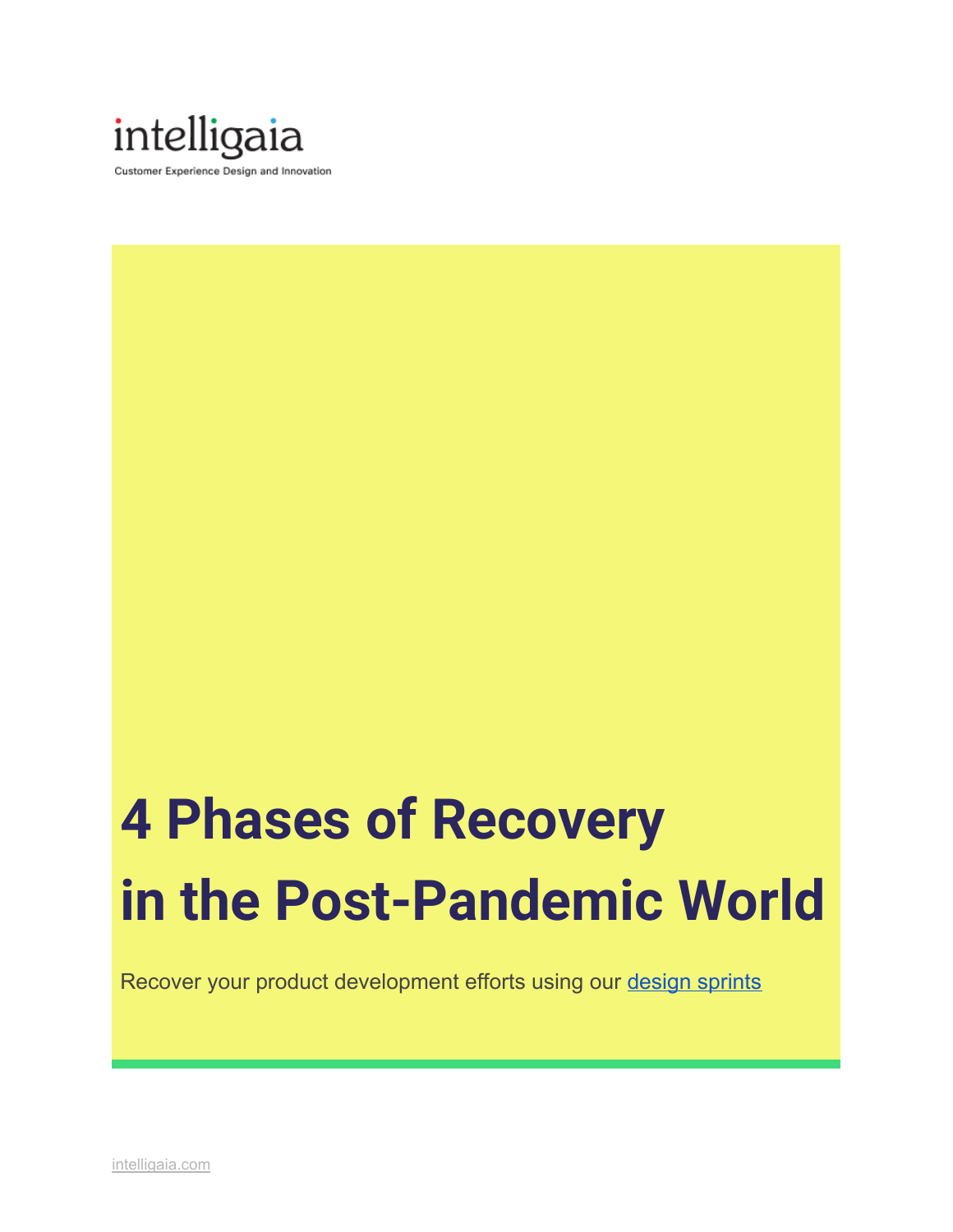

# **4 Phases of Recovery in the Post-Pandemic World**

Recover your product development efforts using our design [sprints](https://intelligaia.com/workshops/)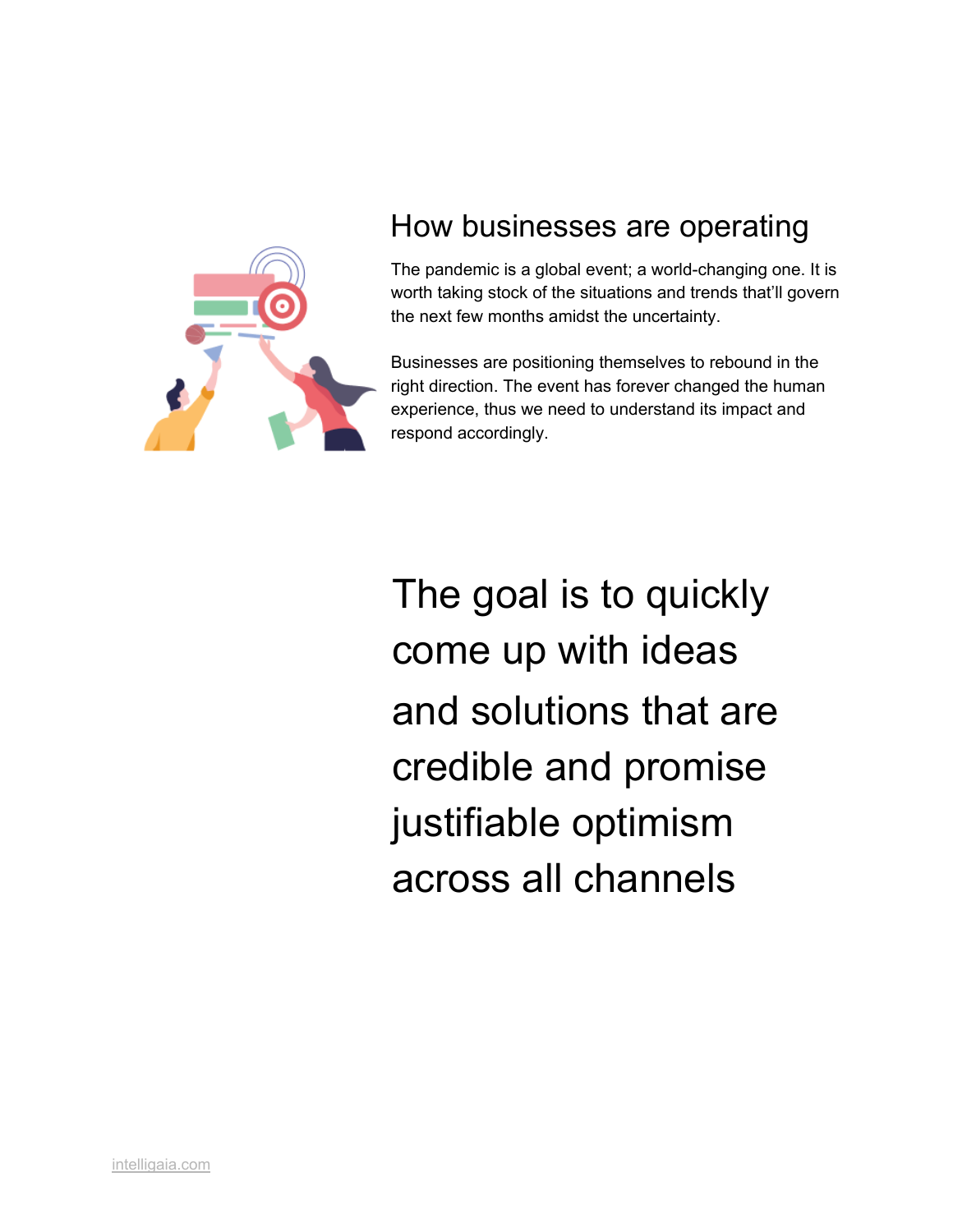

# How businesses are operating

The pandemic is a global event; a world-changing one. It is worth taking stock of the situations and trends that'll govern the next few months amidst the uncertainty.

Businesses are positioning themselves to rebound in the right direction. The event has forever changed the human experience, thus we need to understand its impact and respond accordingly.

The goal is to quickly come up with ideas and solutions that are credible and promise justifiable optimism across all channels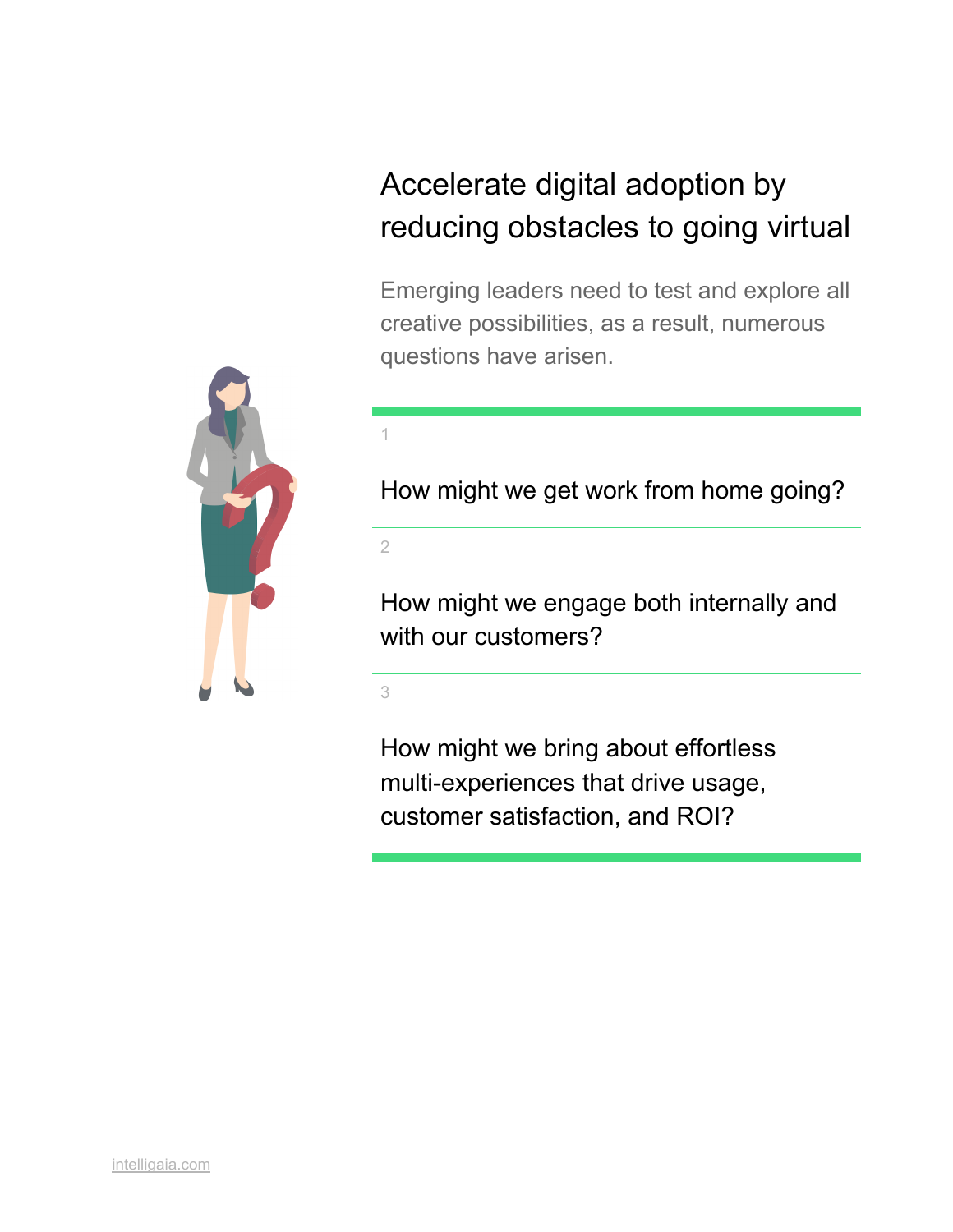# Accelerate digital adoption by reducing obstacles to going virtual

Emerging leaders need to test and explore all creative possibilities, as a result, numerous questions have arisen.



How might we get work from home going?

2

1

How might we engage both internally and with our customers?

3

How might we bring about effortless multi-experiences that drive usage, customer satisfaction, and ROI?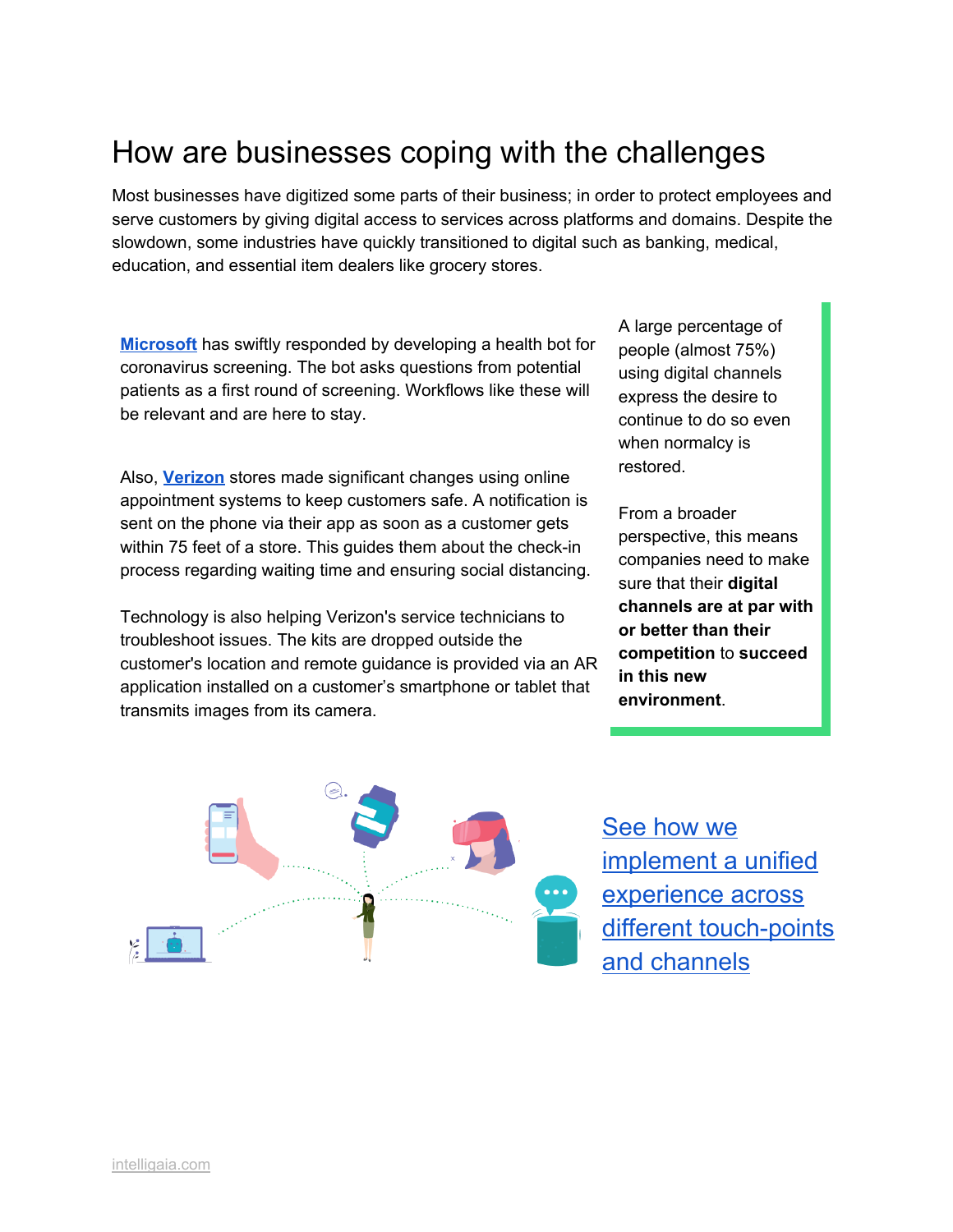# How are businesses coping with the challenges

Most businesses have digitized some parts of their business; in order to protect employees and serve customers by giving digital access to services across platforms and domains. Despite the slowdown, some industries have quickly transitioned to digital such as banking, medical, education, and essential item dealers like grocery stores.

**[Microsoft](https://www.forbes.com/sites/alexkonrad/2020/05/19/microsoft-ceo-satya-nadella-talks-software-in-covid-19-response/?ss=cio-network#159b66059747)** has swiftly responded by developing a health bot for coronavirus screening. The bot asks questions from potential patients as a first round of screening. Workflows like these will be relevant and are here to stay.

Also, **[Verizon](https://www.forbes.com/sites/martingiles/2020/05/08/cio-adapting-verizon-to-a-contactless-world/?ss=cio-network#73d3e1d71c96)** stores made significant changes using online appointment systems to keep customers safe. A notification is sent on the phone via their app as soon as a customer gets within 75 feet of a store. This guides them about the check-in process regarding waiting time and ensuring social distancing.

Technology is also helping Verizon's service technicians to troubleshoot issues. The kits are dropped outside the customer's location and remote guidance is provided via an AR application installed on a customer's smartphone or tablet that transmits images from its camera.

A large percentage of people (almost 75%) using digital channels express the desire to continue to do so even when normalcy is restored.

From a broader perspective, this means companies need to make sure that their **digital channels are at par with or better than their competition** to **succeed in this new environment**.



See [how](https://intelligaia.com/work/) we [implement](https://intelligaia.com/work/) a unified [experience](https://intelligaia.com/work/) across different [touch-points](https://intelligaia.com/work/) and [channels](https://intelligaia.com/work/)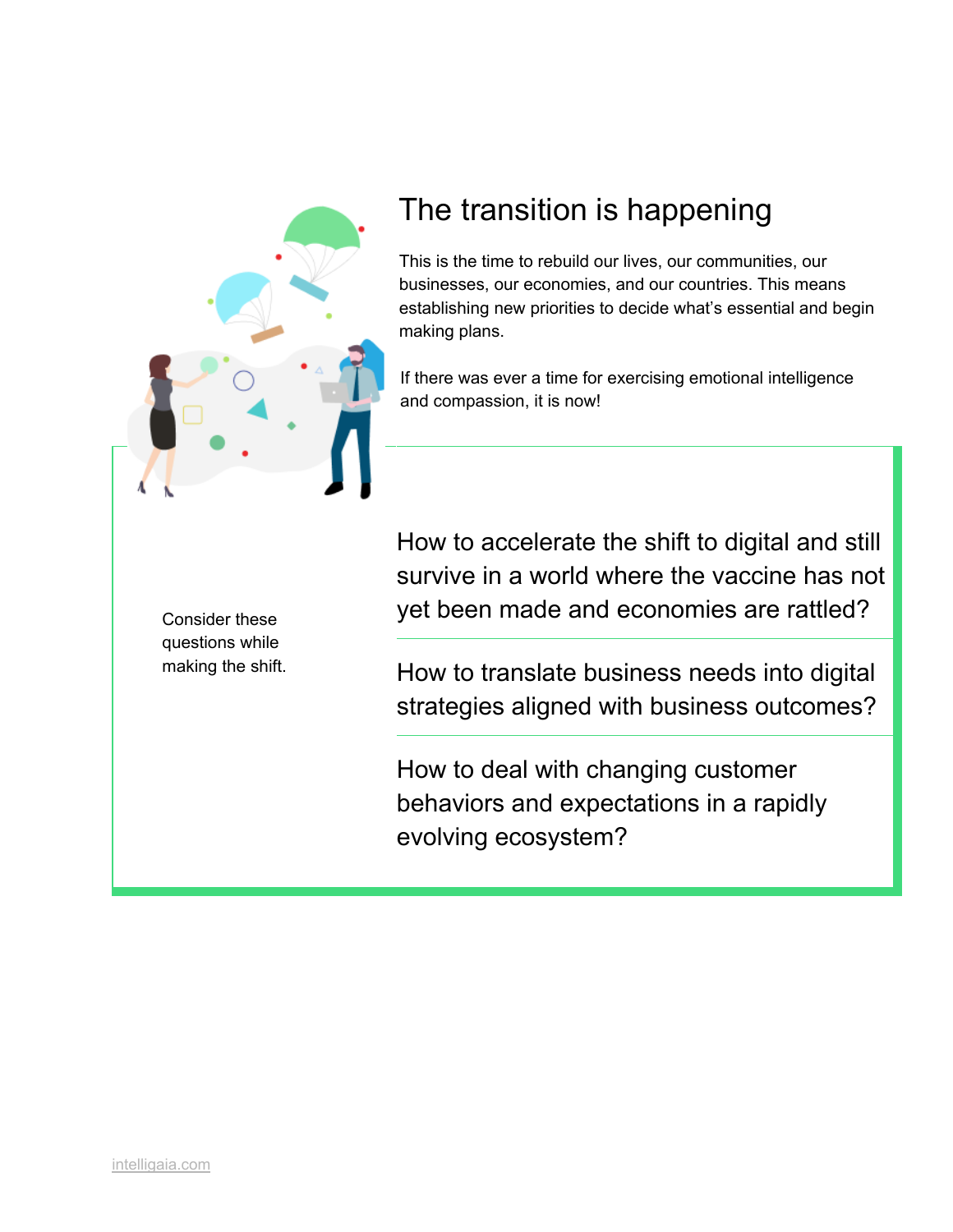

# The transition is happening

This is the time to rebuild our lives, our communities, our businesses, our economies, and our countries. This means establishing new priorities to decide what's essential and begin making plans.

If there was ever a time for exercising emotional intelligence and compassion, it is now!

Consider these questions while making the shift. How to accelerate the shift to digital and still survive in a world where the vaccine has not yet been made and economies are rattled?

How to translate business needs into digital strategies aligned with business outcomes?

How to deal with changing customer behaviors and expectations in a rapidly evolving ecosystem?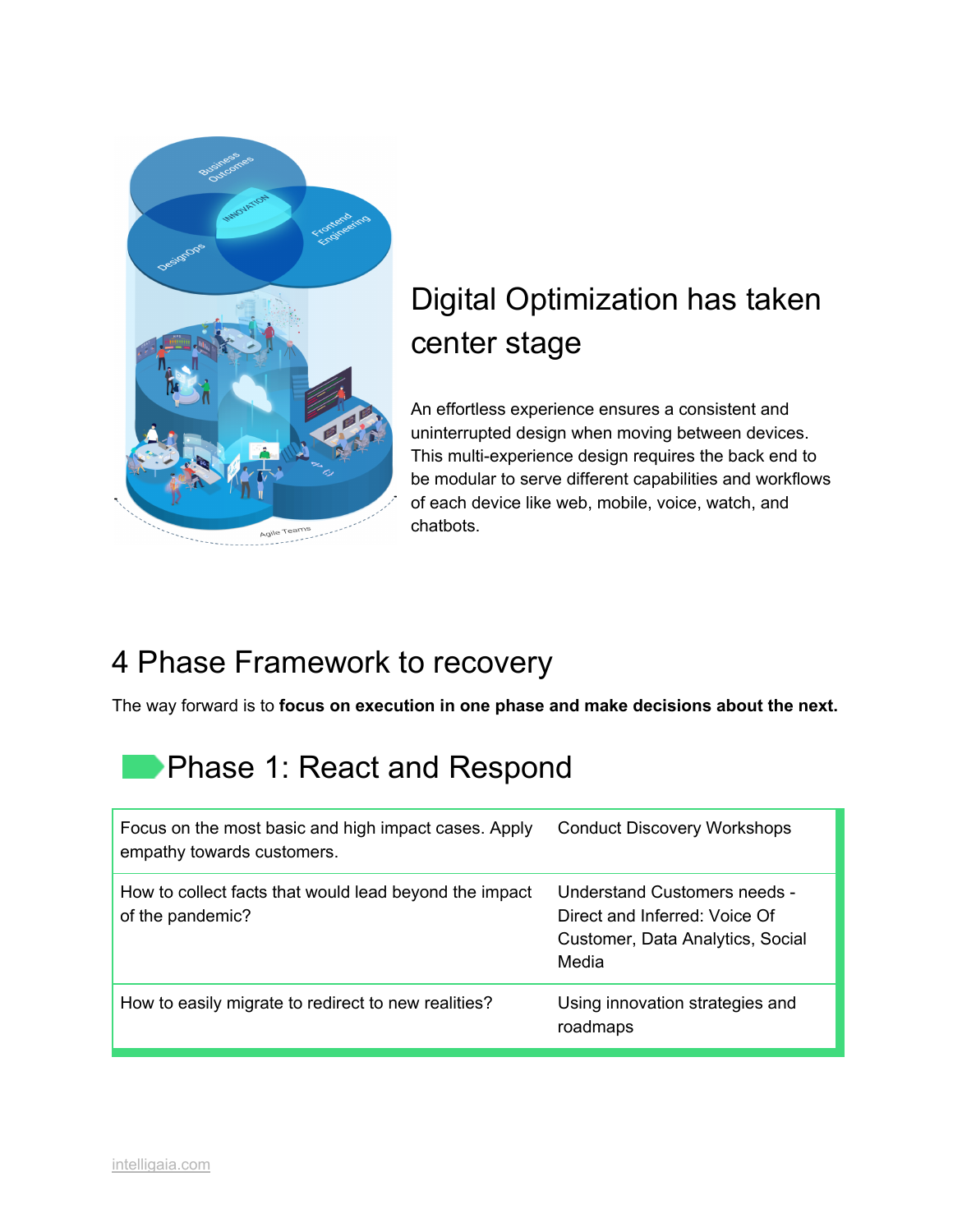

# Digital Optimization has taken center stage

An effortless experience ensures a consistent and uninterrupted design when moving between devices. This multi-experience design requires the back end to be modular to serve different capabilities and workflows of each device like web, mobile, voice, watch, and chatbots.

# 4 Phase Framework to recovery

The way forward is to **focus on execution in one phase and make decisions about the next.**

# **Phase 1: React and Respond**

| Focus on the most basic and high impact cases. Apply<br>empathy towards customers. | <b>Conduct Discovery Workshops</b>                                                                         |
|------------------------------------------------------------------------------------|------------------------------------------------------------------------------------------------------------|
| How to collect facts that would lead beyond the impact<br>of the pandemic?         | Understand Customers needs -<br>Direct and Inferred: Voice Of<br>Customer, Data Analytics, Social<br>Media |
| How to easily migrate to redirect to new realities?                                | Using innovation strategies and<br>roadmaps                                                                |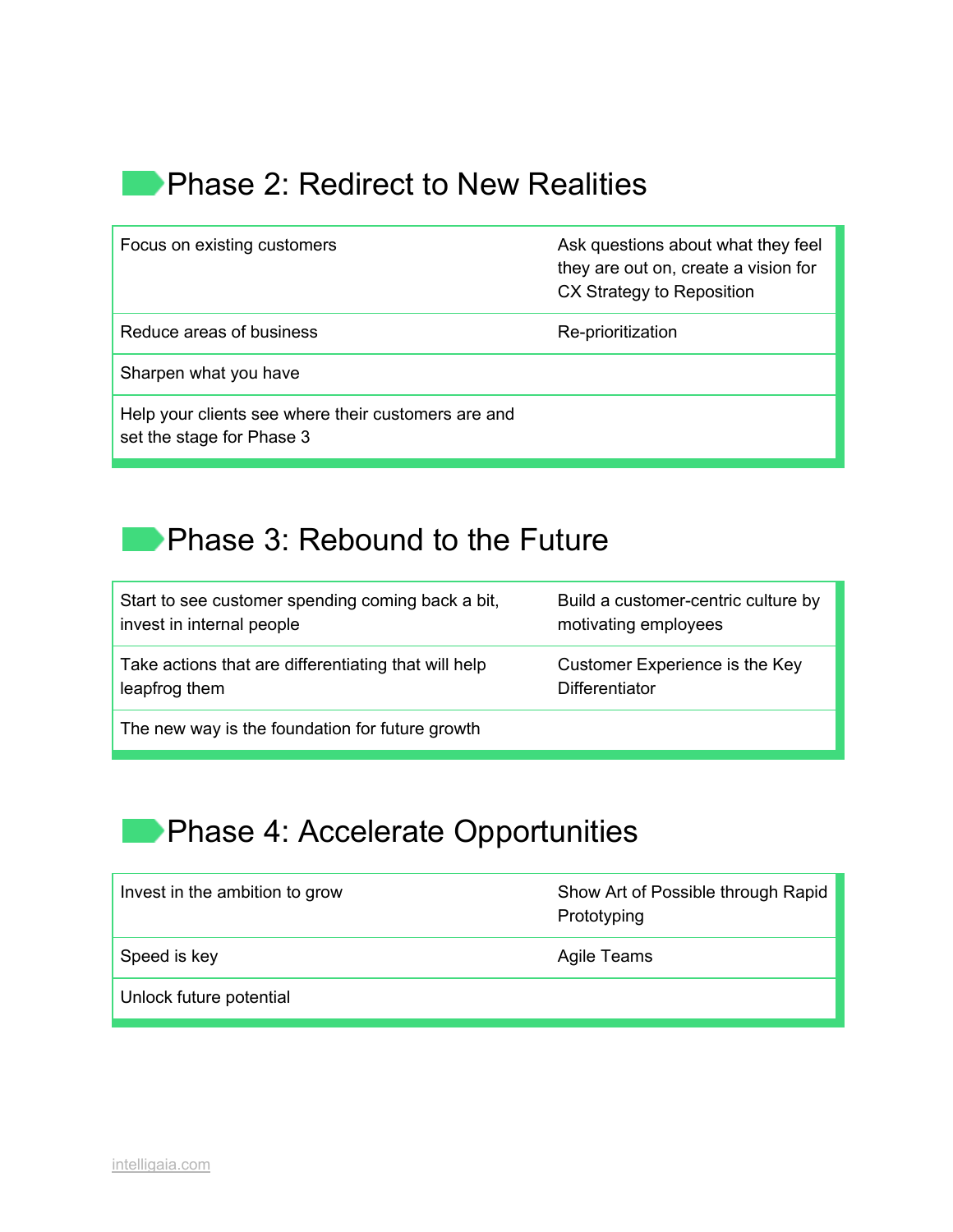### **Phase 2: Redirect to New Realities**

| Focus on existing customers                                                      | Ask questions about what they feel<br>they are out on, create a vision for<br>CX Strategy to Reposition |
|----------------------------------------------------------------------------------|---------------------------------------------------------------------------------------------------------|
| Reduce areas of business                                                         | Re-prioritization                                                                                       |
| Sharpen what you have                                                            |                                                                                                         |
| Help your clients see where their customers are and<br>set the stage for Phase 3 |                                                                                                         |

### **Phase 3: Rebound to the Future**

| Start to see customer spending coming back a bit,    | Build a customer-centric culture by |
|------------------------------------------------------|-------------------------------------|
| invest in internal people                            | motivating employees                |
| Take actions that are differentiating that will help | Customer Experience is the Key      |
| leapfrog them                                        | <b>Differentiator</b>               |
| The new way is the foundation for future growth      |                                     |

# **Phase 4: Accelerate Opportunities**

| Invest in the ambition to grow | Show Art of Possible through Rapid<br>Prototyping |
|--------------------------------|---------------------------------------------------|
| Speed is key                   | Agile Teams                                       |
| Unlock future potential        |                                                   |